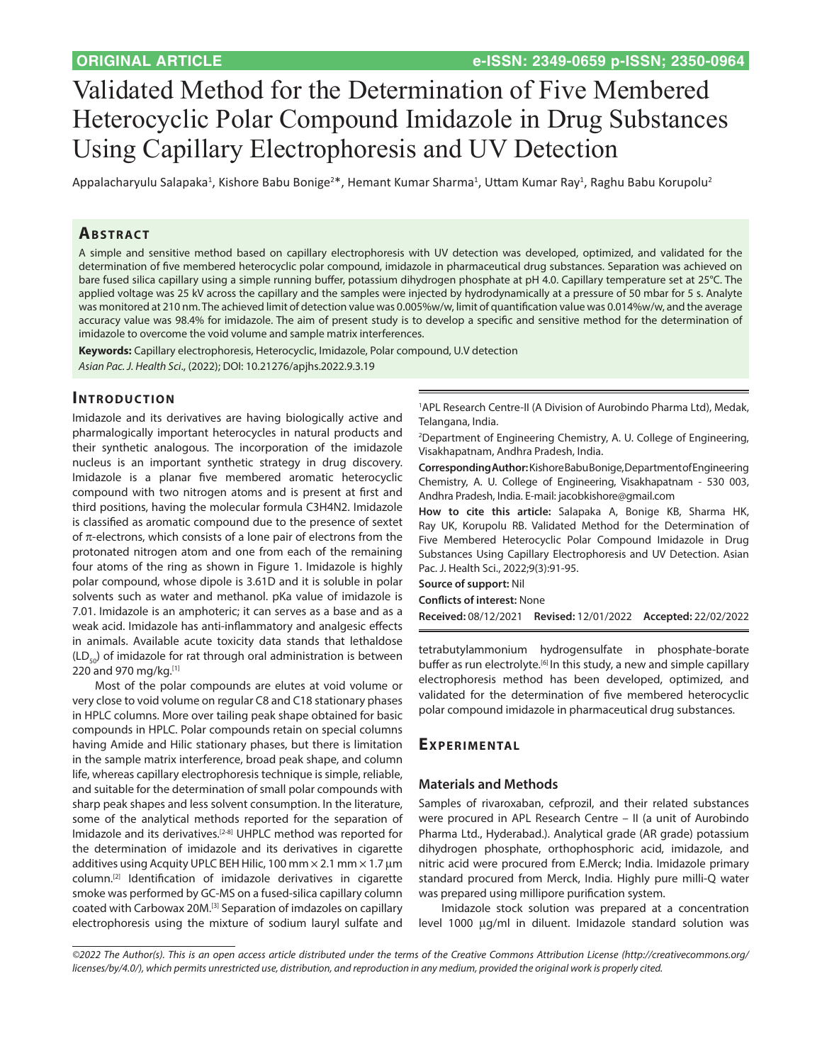# Validated Method for the Determination of Five Membered Heterocyclic Polar Compound Imidazole in Drug Substances Using Capillary Electrophoresis and UV Detection

Appalacharyulu Salapaka<sup>1</sup>, Kishore Babu Bonige<sup>2\*</sup>, Hemant Kumar Sharma<sup>1</sup>, Uttam Kumar Ray<sup>1</sup>, Raghu Babu Korupolu<sup>2</sup>

## **ABSTRACT**

A simple and sensitive method based on capillary electrophoresis with UV detection was developed, optimized, and validated for the determination of five membered heterocyclic polar compound, imidazole in pharmaceutical drug substances. Separation was achieved on bare fused silica capillary using a simple running buffer, potassium dihydrogen phosphate at pH 4.0. Capillary temperature set at 25°C. The applied voltage was 25 kV across the capillary and the samples were injected by hydrodynamically at a pressure of 50 mbar for 5 s. Analyte was monitored at 210 nm. The achieved limit of detection value was 0.005%w/w, limit of quantification value was 0.014%w/w, and the average accuracy value was 98.4% for imidazole. The aim of present study is to develop a specific and sensitive method for the determination of imidazole to overcome the void volume and sample matrix interferences.

**Keywords:** Capillary electrophoresis, Heterocyclic, Imidazole, Polar compound, U.V detection *Asian Pac. J. Health Sci*., (2022); DOI: 10.21276/apjhs.2022.9.3.19

#### **INTRODUCTION**

Imidazole and its derivatives are having biologically active and pharmalogically important heterocycles in natural products and their synthetic analogous. The incorporation of the imidazole nucleus is an important synthetic strategy in drug discovery. Imidazole is a planar five membered aromatic heterocyclic compound with two nitrogen atoms and is present at first and third positions, having the molecular formula C3H4N2. Imidazole is classified as aromatic compound due to the presence of sextet of  $\pi$ -electrons, which consists of a lone pair of electrons from the protonated nitrogen atom and one from each of the remaining four atoms of the ring as shown in Figure 1. Imidazole is highly polar compound, whose dipole is 3.61D and it is soluble in polar solvents such as water and methanol. pKa value of imidazole is 7.01. Imidazole is an amphoteric; it can serves as a base and as a weak acid. Imidazole has anti-inflammatory and analgesic effects in animals. Available acute toxicity data stands that lethaldose  $(LD_{50})$  of imidazole for rat through oral administration is between 220 and 970 mg/kg.[1]

Most of the polar compounds are elutes at void volume or very close to void volume on regular C8 and C18 stationary phases in HPLC columns. More over tailing peak shape obtained for basic compounds in HPLC. Polar compounds retain on special columns having Amide and Hilic stationary phases, but there is limitation in the sample matrix interference, broad peak shape, and column life, whereas capillary electrophoresis technique is simple, reliable, and suitable for the determination of small polar compounds with sharp peak shapes and less solvent consumption. In the literature, some of the analytical methods reported for the separation of Imidazole and its derivatives.[2-8] UHPLC method was reported for the determination of imidazole and its derivatives in cigarette additives using Acquity UPLC BEH Hilic, 100 mm  $\times$  2.1 mm  $\times$  1.7 µm column.[2] Identification of imidazole derivatives in cigarette smoke was performed by GC-MS on a fused-silica capillary column coated with Carbowax 20M.[3] Separation of imdazoles on capillary electrophoresis using the mixture of sodium lauryl sulfate and

1 APL Research Centre-II (A Division of Aurobindo Pharma Ltd), Medak, Telangana, India.

2 Department of Engineering Chemistry, A. U. College of Engineering, Visakhapatnam, Andhra Pradesh, India.

**Corresponding Author:** Kishore Babu Bonige, Department of Engineering Chemistry, A. U. College of Engineering, Visakhapatnam - 530 003, Andhra Pradesh, India. E-mail: jacobkishore@gmail.com

**How to cite this article:** Salapaka A, Bonige KB, Sharma HK, Ray UK, Korupolu RB. Validated Method for the Determination of Five Membered Heterocyclic Polar Compound Imidazole in Drug Substances Using Capillary Electrophoresis and UV Detection. Asian Pac. J. Health Sci., 2022;9(3):91-95.

**Source of support:** Nil **Conflicts of interest:** None

**Received:** 08/12/2021 **Revised:** 12/01/2022 **Accepted:** 22/02/2022

tetrabutylammonium hydrogensulfate in phosphate-borate buffer as run electrolyte.<sup>[6]</sup> In this study, a new and simple capillary electrophoresis method has been developed, optimized, and validated for the determination of five membered heterocyclic polar compound imidazole in pharmaceutical drug substances.

# **Ex perimen tal**

#### **Materials and Methods**

Samples of rivaroxaban, cefprozil, and their related substances were procured in APL Research Centre – II (a unit of Aurobindo Pharma Ltd., Hyderabad.). Analytical grade (AR grade) potassium dihydrogen phosphate, orthophosphoric acid, imidazole, and nitric acid were procured from E.Merck; India. Imidazole primary standard procured from Merck, India. Highly pure milli-Q water was prepared using millipore purification system.

Imidazole stock solution was prepared at a concentration level 1000 µg/ml in diluent. Imidazole standard solution was

*<sup>©2022</sup> The Author(s). This is an open access article distributed under the terms of the Creative Commons Attribution License [\(http://creativecommons.org/](http://creativecommons.org/licenses/by/4.0/) [licenses/by/4.0/](http://creativecommons.org/licenses/by/4.0/)), which permits unrestricted use, distribution, and reproduction in any medium, provided the original work is properly cited.*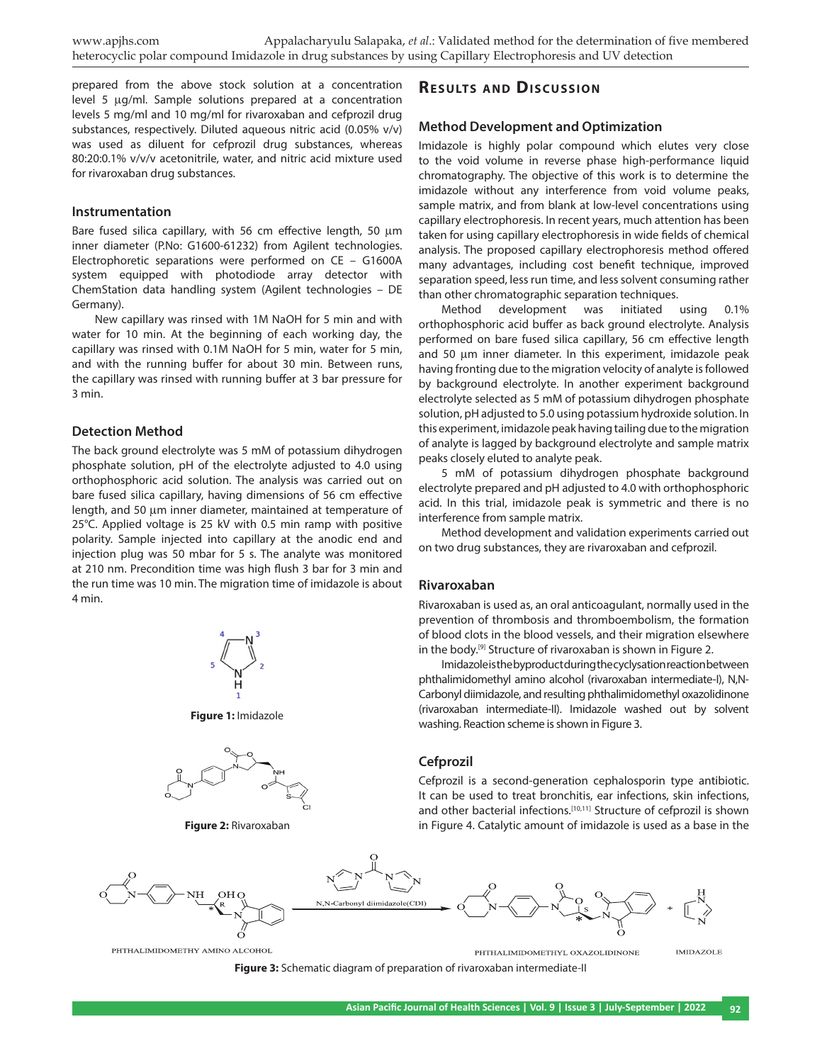prepared from the above stock solution at a concentration level 5  $\mu$ g/ml. Sample solutions prepared at a concentration levels 5 mg/ml and 10 mg/ml for rivaroxaban and cefprozil drug substances, respectively. Diluted aqueous nitric acid (0.05% v/v) was used as diluent for cefprozil drug substances, whereas 80:20:0.1% v/v/v acetonitrile, water, and nitric acid mixture used for rivaroxaban drug substances.

#### **Instrumentation**

Bare fused silica capillary, with 56 cm effective length, 50  $\mu$ m inner diameter (P.No: G1600-61232) from Agilent technologies. Electrophoretic separations were performed on CE – G1600A system equipped with photodiode array detector with ChemStation data handling system (Agilent technologies – DE Germany).

New capillary was rinsed with 1M NaOH for 5 min and with water for 10 min. At the beginning of each working day, the capillary was rinsed with 0.1M NaOH for 5 min, water for 5 min, and with the running buffer for about 30 min. Between runs, the capillary was rinsed with running buffer at 3 bar pressure for 3 min.

#### **Detection Method**

The back ground electrolyte was 5 mM of potassium dihydrogen phosphate solution, pH of the electrolyte adjusted to 4.0 using orthophosphoric acid solution. The analysis was carried out on bare fused silica capillary, having dimensions of 56 cm effective length, and 50 µm inner diameter, maintained at temperature of 25°C. Applied voltage is 25 kV with 0.5 min ramp with positive polarity. Sample injected into capillary at the anodic end and injection plug was 50 mbar for 5 s. The analyte was monitored at 210 nm. Precondition time was high flush 3 bar for 3 min and the run time was 10 min. The migration time of imidazole is about 4 min.



**Figure 1:** Imidazole



**Figure 2:** Rivaroxaban

# **RESULTS AND DISCUSSION**

#### **Method Development and Optimization**

Imidazole is highly polar compound which elutes very close to the void volume in reverse phase high-performance liquid chromatography. The objective of this work is to determine the imidazole without any interference from void volume peaks, sample matrix, and from blank at low-level concentrations using capillary electrophoresis. In recent years, much attention has been taken for using capillary electrophoresis in wide fields of chemical analysis. The proposed capillary electrophoresis method offered many advantages, including cost benefit technique, improved separation speed, less run time, and less solvent consuming rather than other chromatographic separation techniques.

Method development was initiated using 0.1% orthophosphoric acid buffer as back ground electrolyte. Analysis performed on bare fused silica capillary, 56 cm effective length and 50  $\mu$ m inner diameter. In this experiment, imidazole peak having fronting due to the migration velocity of analyte is followed by background electrolyte. In another experiment background electrolyte selected as 5 mM of potassium dihydrogen phosphate solution, pH adjusted to 5.0 using potassium hydroxide solution. In this experiment, imidazole peak having tailing due to the migration of analyte is lagged by background electrolyte and sample matrix peaks closely eluted to analyte peak.

5 mM of potassium dihydrogen phosphate background electrolyte prepared and pH adjusted to 4.0 with orthophosphoric acid. In this trial, imidazole peak is symmetric and there is no interference from sample matrix.

Method development and validation experiments carried out on two drug substances, they are rivaroxaban and cefprozil.

#### **Rivaroxaban**

Rivaroxaban is used as, an oral anticoagulant, normally used in the prevention of thrombosis and thromboembolism, the formation of blood clots in the blood vessels, and their migration elsewhere in the body.<sup>[9]</sup> Structure of rivaroxaban is shown in Figure 2.

Imidazole is the byproduct during the cyclysation reaction between phthalimidomethyl amino alcohol (rivaroxaban intermediate-I), N,N-Carbonyl diimidazole, and resulting phthalimidomethyl oxazolidinone (rivaroxaban intermediate-II). Imidazole washed out by solvent washing. Reaction scheme is shown in Figure 3.

#### **Cefprozil**

Cefprozil is a second-generation cephalosporin type antibiotic. It can be used to treat bronchitis, ear infections, skin infections, and other bacterial infections.<sup>[10,11]</sup> Structure of cefprozil is shown in Figure 4. Catalytic amount of imidazole is used as a base in the



**Figure 3:** Schematic diagram of preparation of rivaroxaban intermediate-II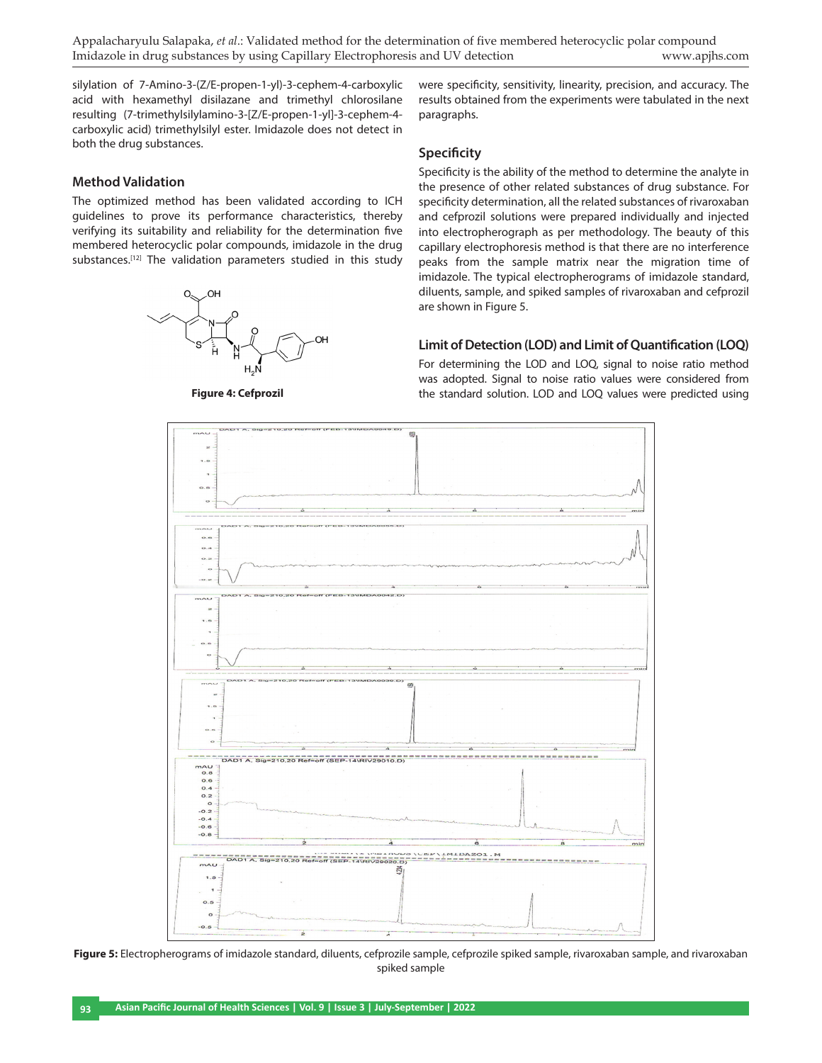Appalacharyulu Salapaka, *et al*.: Validated method for the determination of five membered heterocyclic polar compound Imidazole in drug substances by using Capillary Electrophoresis and UV detection www.apjhs.com

silylation of 7-Amino-3-(Z/E-propen-1-yl)-3-cephem-4-carboxylic acid with hexamethyl disilazane and trimethyl chlorosilane resulting (7-trimethylsilylamino-3-[Z/E-propen-1-yl]-3-cephem-4 carboxylic acid) trimethylsilyl ester. Imidazole does not detect in both the drug substances.

were specificity, sensitivity, linearity, precision, and accuracy. The results obtained from the experiments were tabulated in the next paragraphs.

# **Method Validation**

The optimized method has been validated according to ICH guidelines to prove its performance characteristics, thereby verifying its suitability and reliability for the determination five membered heterocyclic polar compounds, imidazole in the drug substances.<sup>[12]</sup> The validation parameters studied in this study



**Figure 4: Cefprozil**

#### **Specificity**

Specificity is the ability of the method to determine the analyte in the presence of other related substances of drug substance. For specificity determination, all the related substances of rivaroxaban and cefprozil solutions were prepared individually and injected into electropherograph as per methodology. The beauty of this capillary electrophoresis method is that there are no interference peaks from the sample matrix near the migration time of imidazole. The typical electropherograms of imidazole standard, diluents, sample, and spiked samples of rivaroxaban and cefprozil are shown in Figure 5.

#### **Limit of Detection (LOD) and Limit of Quantification (LOQ)**

For determining the LOD and LOQ, signal to noise ratio method was adopted. Signal to noise ratio values were considered from the standard solution. LOD and LOQ values were predicted using



Figure 5: Electropherograms of imidazole standard, diluents, cefprozile sample, cefprozile spiked sample, rivaroxaban sample, and rivaroxaban spiked sample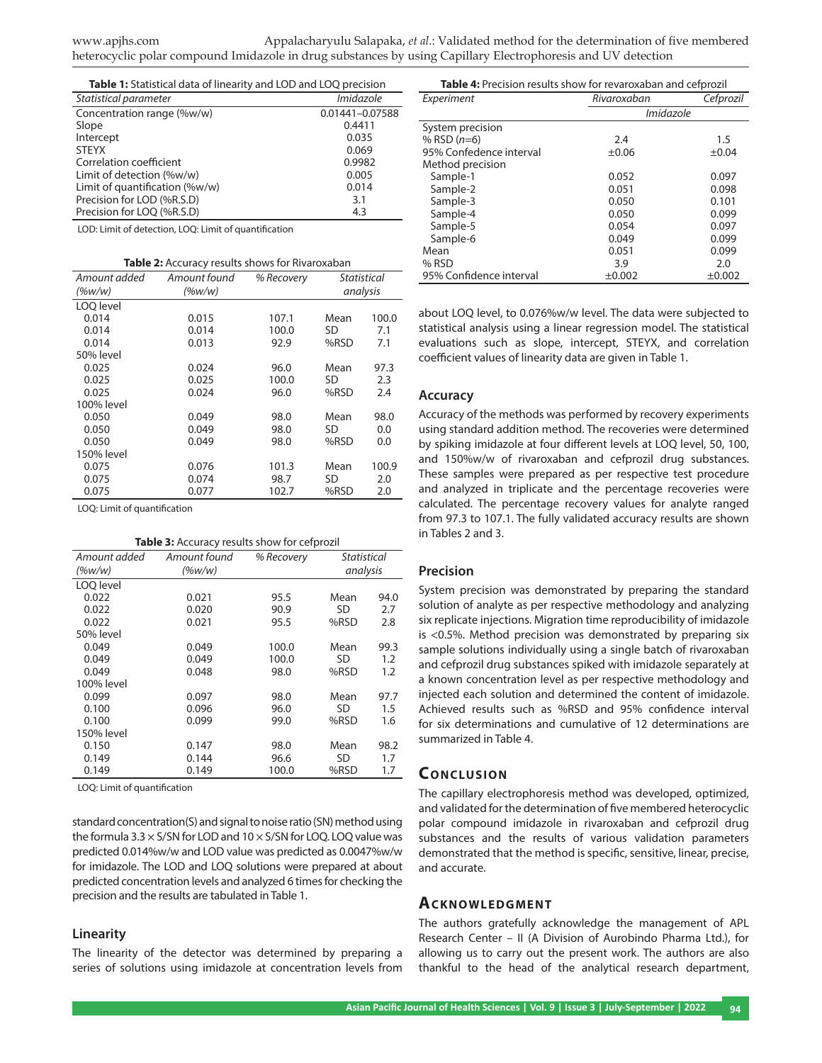| Table 1: Statistical data of linearity and LOD and LOQ precision |                      |  |
|------------------------------------------------------------------|----------------------|--|
| Statistical parameter                                            | Imidazole            |  |
| Concentration range (%w/w)                                       | 0.01441-0.07588      |  |
| $\sim$ $\sim$ $\sim$                                             | $\sim$ $\sim$ $\sim$ |  |

| Slope                          | 0.4411 |
|--------------------------------|--------|
| Intercept                      | 0.035  |
| <b>STEYX</b>                   | 0.069  |
| Correlation coefficient        | 0.9982 |
| Limit of detection (%w/w)      | 0.005  |
| Limit of quantification (%w/w) | 0.014  |
| Precision for LOD (%R.S.D)     | 3.1    |
| Precision for LOQ (%R.S.D)     | 4.3    |

LOD: Limit of detection, LOQ: Limit of quantification

| <b>Table 2:</b> Accuracy results shows for Rivaroxaban |              |            |                    |       |
|--------------------------------------------------------|--------------|------------|--------------------|-------|
| Amount added                                           | Amount found | % Recovery | <b>Statistical</b> |       |
| $(\%w/w)$                                              | (%w/w)       |            | analysis           |       |
| LOO level                                              |              |            |                    |       |
| 0.014                                                  | 0.015        | 107.1      | Mean               | 100.0 |
| 0.014                                                  | 0.014        | 100.0      | SD                 | 7.1   |
| 0.014                                                  | 0.013        | 92.9       | %RSD               | 7.1   |
| 50% level                                              |              |            |                    |       |
| 0.025                                                  | 0.024        | 96.0       | Mean               | 97.3  |
| 0.025                                                  | 0.025        | 100.0      | SD.                | 2.3   |
| 0.025                                                  | 0.024        | 96.0       | %RSD               | 2.4   |
| 100% level                                             |              |            |                    |       |
| 0.050                                                  | 0.049        | 98.0       | Mean               | 98.0  |
| 0.050                                                  | 0.049        | 98.0       | SD                 | 0.0   |
| 0.050                                                  | 0.049        | 98.0       | %RSD               | 0.0   |
| 150% level                                             |              |            |                    |       |
| 0.075                                                  | 0.076        | 101.3      | Mean               | 100.9 |
| 0.075                                                  | 0.074        | 98.7       | SD                 | 2.0   |
| 0.075                                                  | 0.077        | 102.7      | %RSD               | 2.0   |

LOQ: Limit of quantification

| <b>Table 3:</b> Accuracy results show for cefprozil |              |            |                    |      |
|-----------------------------------------------------|--------------|------------|--------------------|------|
| Amount added                                        | Amount found | % Recovery | <b>Statistical</b> |      |
| $(\%w/w)$                                           | (%w/w)       |            | analysis           |      |
| LOO level                                           |              |            |                    |      |
| 0.022                                               | 0.021        | 95.5       | Mean               | 94.0 |
| 0.022                                               | 0.020        | 90.9       | SD                 | 2.7  |
| 0.022                                               | 0.021        | 95.5       | %RSD               | 2.8  |
| 50% level                                           |              |            |                    |      |
| 0.049                                               | 0.049        | 100.0      | Mean               | 99.3 |
| 0.049                                               | 0.049        | 100.0      | SD                 | 1.2  |
| 0.049                                               | 0.048        | 98.0       | %RSD               | 1.2  |
| 100% level                                          |              |            |                    |      |
| 0.099                                               | 0.097        | 98.0       | Mean               | 97.7 |
| 0.100                                               | 0.096        | 96.0       | SD                 | 1.5  |
| 0.100                                               | 0.099        | 99.0       | %RSD               | 1.6  |
| 150% level                                          |              |            |                    |      |
| 0.150                                               | 0.147        | 98.0       | Mean               | 98.2 |
| 0.149                                               | 0.144        | 96.6       | SD                 | 1.7  |
| 0.149                                               | 0.149        | 100.0      | %RSD               | 1.7  |

LOQ: Limit of quantification

standard concentration(S) and signal to noise ratio (SN) method using the formula 3.3  $\times$  S/SN for LOD and 10  $\times$  S/SN for LOQ. LOQ value was predicted 0.014%w/w and LOD value was predicted as 0.0047%w/w for imidazole. The LOD and LOQ solutions were prepared at about predicted concentration levels and analyzed 6 times for checking the precision and the results are tabulated in Table 1.

#### **Linearity**

The linearity of the detector was determined by preparing a series of solutions using imidazole at concentration levels from

| Table 4: Precision results show for revaroxaban and cefprozil |             |           |  |
|---------------------------------------------------------------|-------------|-----------|--|
| Experiment                                                    | Rivaroxaban | Cefprozil |  |
|                                                               | Imidazole   |           |  |
| System precision                                              |             |           |  |
| % RSD $(n=6)$                                                 | 2.4         | 1.5       |  |
| 95% Confedence interval                                       | ±0.06       | ±0.04     |  |
| Method precision                                              |             |           |  |
| Sample-1                                                      | 0.052       | 0.097     |  |
| Sample-2                                                      | 0.051       | 0.098     |  |
| Sample-3                                                      | 0.050       | 0.101     |  |
| Sample-4                                                      | 0.050       | 0.099     |  |
| Sample-5                                                      | 0.054       | 0.097     |  |
| Sample-6                                                      | 0.049       | 0.099     |  |
| Mean                                                          | 0.051       | 0.099     |  |
| % RSD                                                         | 3.9         | 2.0       |  |
| 95% Confidence interval                                       | ±0.002      | ±0.002    |  |

about LOQ level, to 0.076%w/w level. The data were subjected to statistical analysis using a linear regression model. The statistical evaluations such as slope, intercept, STEYX, and correlation coefficient values of linearity data are given in Table 1.

#### **Accuracy**

Accuracy of the methods was performed by recovery experiments using standard addition method. The recoveries were determined by spiking imidazole at four different levels at LOQ level, 50, 100, and 150%w/w of rivaroxaban and cefprozil drug substances. These samples were prepared as per respective test procedure and analyzed in triplicate and the percentage recoveries were calculated. The percentage recovery values for analyte ranged from 97.3 to 107.1. The fully validated accuracy results are shown in Tables 2 and 3.

#### **Precision**

System precision was demonstrated by preparing the standard solution of analyte as per respective methodology and analyzing six replicate injections. Migration time reproducibility of imidazole is <0.5%. Method precision was demonstrated by preparing six sample solutions individually using a single batch of rivaroxaban and cefprozil drug substances spiked with imidazole separately at a known concentration level as per respective methodology and injected each solution and determined the content of imidazole. Achieved results such as %RSD and 95% confidence interval for six determinations and cumulative of 12 determinations are summarized in Table 4.

# **CONCLUSION**

The capillary electrophoresis method was developed, optimized, and validated for the determination of five membered heterocyclic polar compound imidazole in rivaroxaban and cefprozil drug substances and the results of various validation parameters demonstrated that the method is specific, sensitive, linear, precise, and accurate.

#### **ACKNOWLEDGMENT**

The authors gratefully acknowledge the management of APL Research Center – II (A Division of Aurobindo Pharma Ltd.), for allowing us to carry out the present work. The authors are also thankful to the head of the analytical research department,